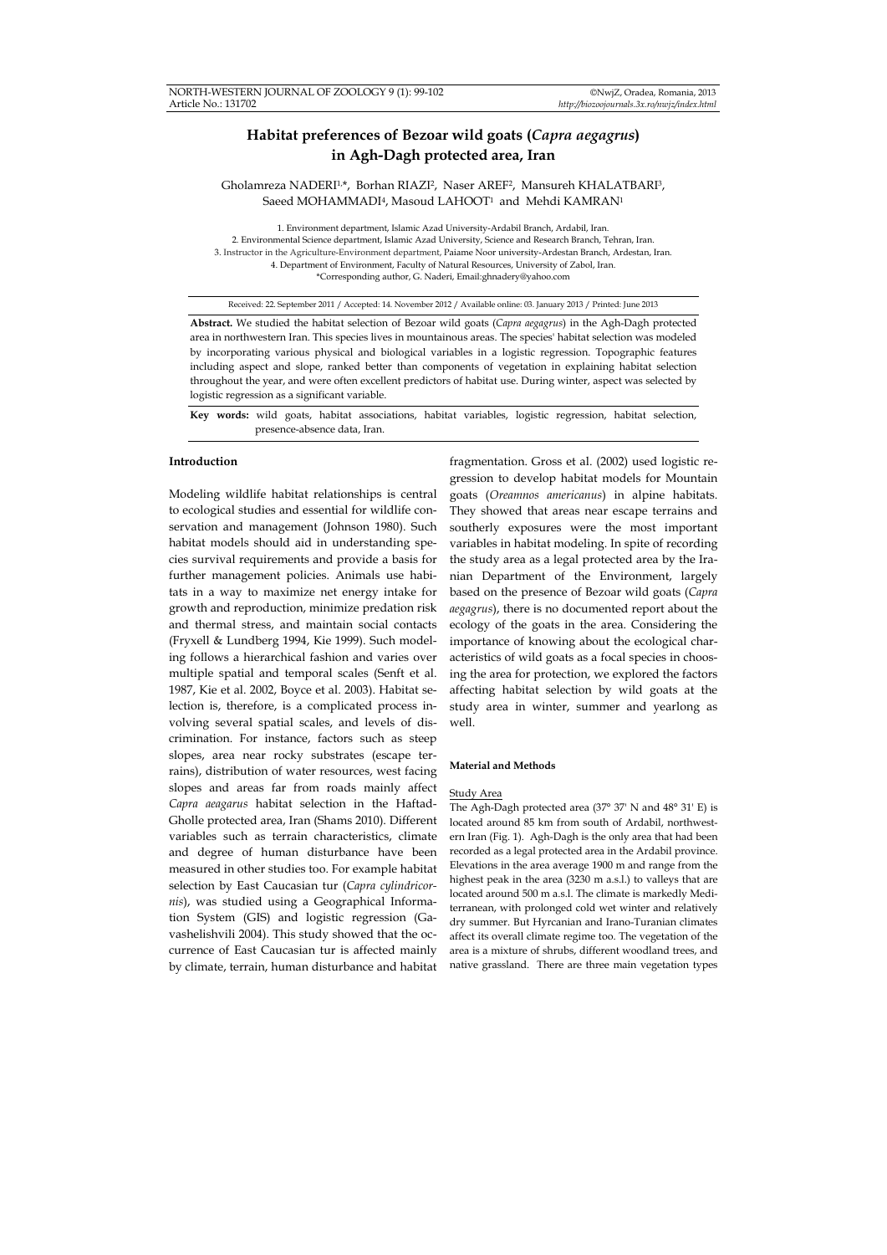# **Habitat preferences of Bezoar wild goats (***Capra aegagrus***) in Agh-Dagh protected area, Iran**

Gholamreza NADERI1,\*, Borhan RIAZI2, Naser AREF2, Mansureh KHALATBARI3, Saeed MOHAMMADI<sup>4</sup>, Masoud LAHOOT<sup>1</sup> and Mehdi KAMRAN<sup>1</sup>

1. Environment department, Islamic Azad University-Ardabil Branch, Ardabil, Iran. 2. Environmental Science department, Islamic Azad University, Science and Research Branch, Tehran, Iran. 3. Instructor in the Agriculture-Environment department, Paiame Noor university-Ardestan Branch, Ardestan, Iran. 4. Department of Environment, Faculty of Natural Resources, University of Zabol, Iran. \*Corresponding author, G. Naderi, Email:ghnadery@yahoo.com

Received: 22. September 2011 / Accepted: 14. November 2012 / Available online: 03. January 2013 / Printed: June 2013

**Abstract.** We studied the habitat selection of Bezoar wild goats (*Capra aegagrus*) in the Agh-Dagh protected area in northwestern Iran. This species lives in mountainous areas. The species' habitat selection was modeled by incorporating various physical and biological variables in a logistic regression. Topographic features including aspect and slope, ranked better than components of vegetation in explaining habitat selection throughout the year, and were often excellent predictors of habitat use. During winter, aspect was selected by logistic regression as a significant variable.

**Key words:** wild goats, habitat associations, habitat variables, logistic regression, habitat selection, presence-absence data, Iran.

## **Introduction**

Modeling wildlife habitat relationships is central to ecological studies and essential for wildlife conservation and management (Johnson 1980). Such habitat models should aid in understanding species survival requirements and provide a basis for further management policies. Animals use habitats in a way to maximize net energy intake for growth and reproduction, minimize predation risk and thermal stress, and maintain social contacts (Fryxell & Lundberg 1994, Kie 1999). Such modeling follows a hierarchical fashion and varies over multiple spatial and temporal scales (Senft et al. 1987, Kie et al. 2002, Boyce et al. 2003). Habitat selection is, therefore, is a complicated process involving several spatial scales, and levels of discrimination. For instance, factors such as steep slopes, area near rocky substrates (escape terrains), distribution of water resources, west facing slopes and areas far from roads mainly affect *Capra aeagarus* habitat selection in the Haftad-Gholle protected area, Iran (Shams 2010). Different variables such as terrain characteristics, climate and degree of human disturbance have been measured in other studies too. For example habitat selection by East Caucasian tur (*Capra cylindricornis*), was studied using a Geographical Information System (GIS) and logistic regression (Gavashelishvili 2004). This study showed that the occurrence of East Caucasian tur is affected mainly by climate, terrain, human disturbance and habitat

fragmentation. Gross et al. (2002) used logistic regression to develop habitat models for Mountain goats (*Oreamnos americanus*) in alpine habitats. They showed that areas near escape terrains and southerly exposures were the most important variables in habitat modeling. In spite of recording the study area as a legal protected area by the Iranian Department of the Environment, largely based on the presence of Bezoar wild goats (*Capra aegagrus*), there is no documented report about the ecology of the goats in the area. Considering the importance of knowing about the ecological characteristics of wild goats as a focal species in choosing the area for protection, we explored the factors affecting habitat selection by wild goats at the study area in winter, summer and yearlong as well.

#### **Material and Methods**

## Study Area

The Agh-Dagh protected area (37° 37' N and 48° 31' E) is located around 85 km from south of Ardabil, northwestern Iran (Fig. 1). Agh-Dagh is the only area that had been recorded as a legal protected area in the Ardabil province. Elevations in the area average 1900 m and range from the highest peak in the area (3230 m a.s.l.) to valleys that are located around 500 m a.s.l. The climate is markedly Mediterranean, with prolonged cold wet winter and relatively dry summer. But Hyrcanian and Irano-Turanian climates affect its overall climate regime too. The vegetation of the area is a mixture of shrubs, different woodland trees, and native grassland. There are three main vegetation types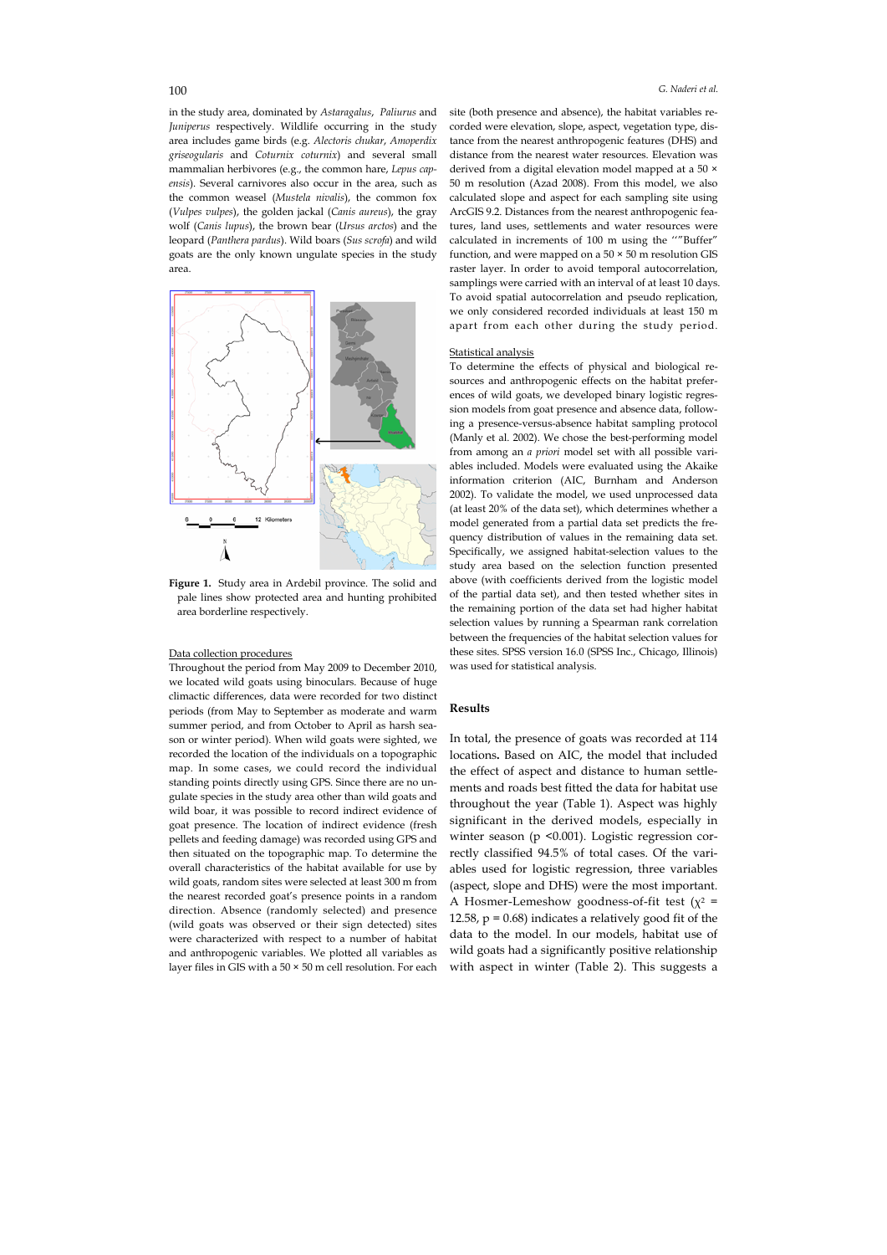in the study area, dominated by *Astaragalus*, *Paliurus* and *Juniperus* respectively. Wildlife occurring in the study area includes game birds (e.g. *Alectoris chukar*, *Amoperdix griseogularis* and *Coturnix coturnix*) and several small mammalian herbivores (e.g., the common hare, *Lepus capensis*). Several carnivores also occur in the area, such as the common weasel (*Mustela nivalis*), the common fox (*Vulpes vulpes*), the golden jackal (*Canis aureus*), the gray wolf (*Canis lupus*), the brown bear (*Ursus arctos*) and the leopard (*Panthera pardus*). Wild boars (*Sus scrofa*) and wild goats are the only known ungulate species in the study area.



**Figure 1.** Study area in Ardebil province. The solid and pale lines show protected area and hunting prohibited area borderline respectively.

## Data collection procedures

Throughout the period from May 2009 to December 2010, we located wild goats using binoculars. Because of huge climactic differences, data were recorded for two distinct periods (from May to September as moderate and warm summer period, and from October to April as harsh season or winter period). When wild goats were sighted, we recorded the location of the individuals on a topographic map. In some cases, we could record the individual standing points directly using GPS. Since there are no ungulate species in the study area other than wild goats and wild boar, it was possible to record indirect evidence of goat presence. The location of indirect evidence (fresh pellets and feeding damage) was recorded using GPS and then situated on the topographic map. To determine the overall characteristics of the habitat available for use by wild goats, random sites were selected at least 300 m from the nearest recorded goat's presence points in a random direction. Absence (randomly selected) and presence (wild goats was observed or their sign detected) sites were characterized with respect to a number of habitat and anthropogenic variables. We plotted all variables as layer files in GIS with a  $50 \times 50$  m cell resolution. For each

site (both presence and absence), the habitat variables recorded were elevation, slope, aspect, vegetation type, distance from the nearest anthropogenic features (DHS) and distance from the nearest water resources. Elevation was derived from a digital elevation model mapped at a 50 × 50 m resolution (Azad 2008). From this model, we also calculated slope and aspect for each sampling site using ArcGIS 9.2. Distances from the nearest anthropogenic features, land uses, settlements and water resources were calculated in increments of 100 m using the ''"Buffer" function, and were mapped on a  $50 \times 50$  m resolution GIS raster layer. In order to avoid temporal autocorrelation, samplings were carried with an interval of at least 10 days. To avoid spatial autocorrelation and pseudo replication, we only considered recorded individuals at least 150 m apart from each other during the study period.

#### Statistical analysis

To determine the effects of physical and biological resources and anthropogenic effects on the habitat preferences of wild goats, we developed binary logistic regression models from goat presence and absence data, following a presence-versus-absence habitat sampling protocol (Manly et al. 2002). We chose the best-performing model from among an *a priori* model set with all possible variables included. Models were evaluated using the Akaike information criterion (AIC, Burnham and Anderson 2002). To validate the model, we used unprocessed data (at least 20% of the data set), which determines whether a model generated from a partial data set predicts the frequency distribution of values in the remaining data set. Specifically, we assigned habitat-selection values to the study area based on the selection function presented above (with coefficients derived from the logistic model of the partial data set), and then tested whether sites in the remaining portion of the data set had higher habitat selection values by running a Spearman rank correlation between the frequencies of the habitat selection values for these sites. SPSS version 16.0 (SPSS Inc., Chicago, Illinois) was used for statistical analysis.

## **Results**

In total, the presence of goats was recorded at 114 locations**.** Based on AIC, the model that included the effect of aspect and distance to human settlements and roads best fitted the data for habitat use throughout the year (Table 1). Aspect was highly significant in the derived models, especially in winter season (p <0.001). Logistic regression correctly classified 94.5% of total cases. Of the variables used for logistic regression, three variables (aspect, slope and DHS) were the most important. A Hosmer-Lemeshow goodness-of-fit test ( $\chi^2$  = 12.58,  $p = 0.68$ ) indicates a relatively good fit of the data to the model. In our models, habitat use of wild goats had a significantly positive relationship with aspect in winter (Table 2). This suggests a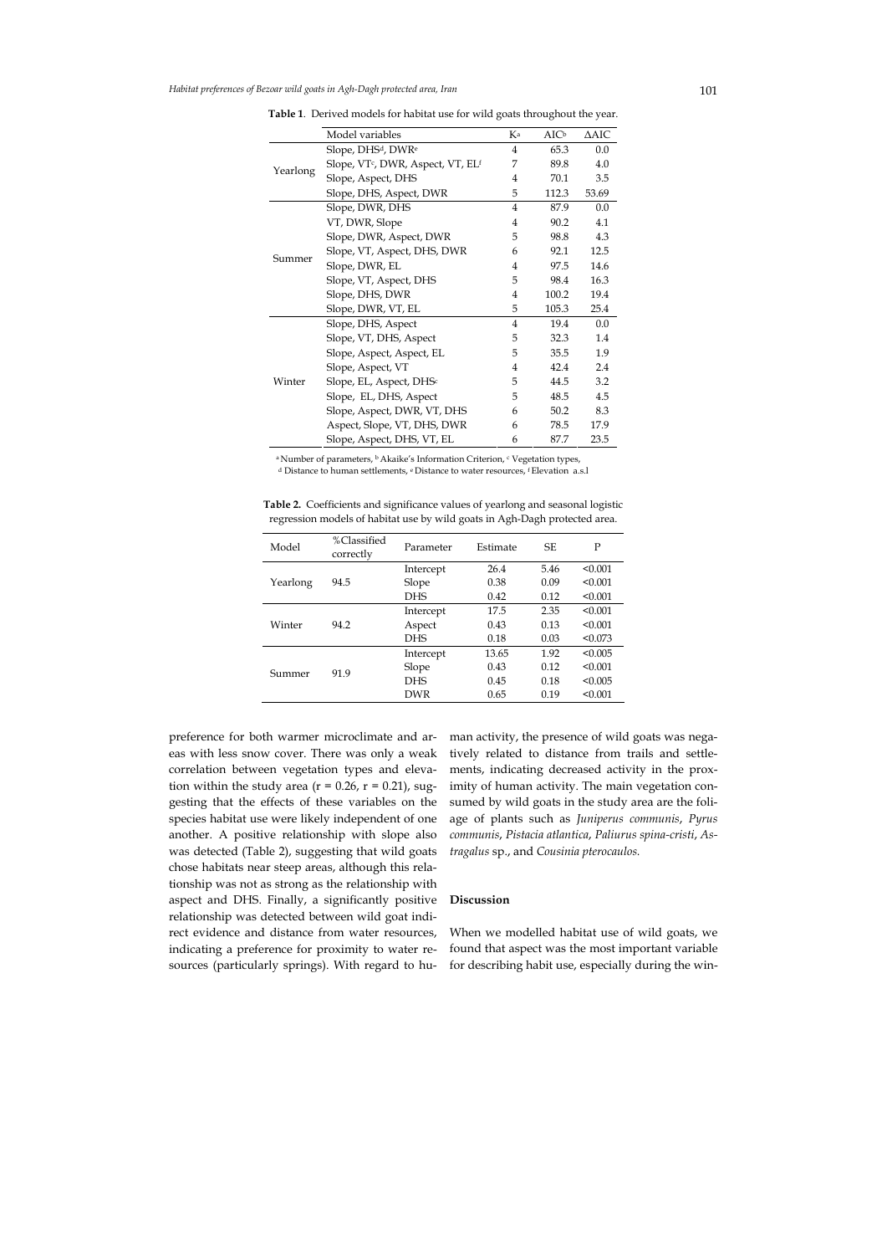|          | Model variables                                           | Кa             | $AIC^b$ | $\triangle$ AIC |
|----------|-----------------------------------------------------------|----------------|---------|-----------------|
| Yearlong | Slope, DHS <sup>d</sup> , DWR <sup>e</sup>                | 4              | 65.3    | 0.0             |
|          | Slope, VT <sup>c</sup> , DWR, Aspect, VT, EL <sup>f</sup> | 7              | 89.8    | 4.0             |
|          | Slope, Aspect, DHS                                        | $\overline{4}$ | 70.1    | 3.5             |
|          | Slope, DHS, Aspect, DWR                                   | 5              | 112.3   | 53.69           |
| Summer   | Slope, DWR, DHS                                           | 4              | 87.9    | 0.0             |
|          | VT, DWR, Slope                                            | $\overline{4}$ | 90.2    | 4.1             |
|          | Slope, DWR, Aspect, DWR                                   | 5              | 98.8    | 4.3             |
|          | Slope, VT, Aspect, DHS, DWR                               | 6              | 92.1    | 12.5            |
|          | Slope, DWR, EL                                            | $\overline{4}$ | 97.5    | 14.6            |
|          | Slope, VT, Aspect, DHS                                    | 5              | 98.4    | 16.3            |
|          | Slope, DHS, DWR                                           | 4              | 100.2   | 19.4            |
|          | Slope, DWR, VT, EL                                        | 5              | 105.3   | 25.4            |
| Winter   | Slope, DHS, Aspect                                        | $\overline{4}$ | 19.4    | 0.0             |
|          | Slope, VT, DHS, Aspect                                    | 5              | 32.3    | 1.4             |
|          | Slope, Aspect, Aspect, EL                                 | 5              | 35.5    | 1.9             |
|          | Slope, Aspect, VT                                         | 4              | 42.4    | 2.4             |
|          | Slope, EL, Aspect, DHSc                                   | 5              | 44.5    | 3.2             |
|          | Slope, EL, DHS, Aspect                                    | 5              | 48.5    | 4.5             |
|          | Slope, Aspect, DWR, VT, DHS                               | 6              | 50.2    | 8.3             |
|          | Aspect, Slope, VT, DHS, DWR                               | 6              | 78.5    | 17.9            |
|          | Slope, Aspect, DHS, VT, EL                                | 6              | 87.7    | 23.5            |

**Table 1**. Derived models for habitat use for wild goats throughout the year.

<sup>a</sup> Number of parameters, <sup>b</sup> Akaike's Information Criterion, <sup>c</sup> Vegetation types, d Distance to human settlements, e Distance to water resources, f Elevation a.s.l

| Table 2. Coefficients and significance values of yearlong and seasonal logistic |  |  |
|---------------------------------------------------------------------------------|--|--|
| regression models of habitat use by wild goats in Agh-Dagh protected area.      |  |  |

| Model    | %Classified<br>correctly | Parameter  | Estimate | SF.  | P       |
|----------|--------------------------|------------|----------|------|---------|
| Yearlong | 94.5                     | Intercept  | 26.4     | 5.46 | < 0.001 |
|          |                          | Slope      | 0.38     | 0.09 | < 0.001 |
|          |                          | <b>DHS</b> | 0.42     | 0.12 | < 0.001 |
| Winter   | 94.2                     | Intercept  | 17.5     | 2.35 | < 0.001 |
|          |                          | Aspect     | 0.43     | 0.13 | < 0.001 |
|          |                          | <b>DHS</b> | 0.18     | 0.03 | < 0.073 |
| Summer   | 91.9                     | Intercept  | 13.65    | 1.92 | < 0.005 |
|          |                          | Slope      | 0.43     | 0.12 | < 0.001 |
|          |                          | <b>DHS</b> | 0.45     | 0.18 | < 0.005 |
|          |                          | <b>DWR</b> | 0.65     | 0.19 | < 0.001 |
|          |                          |            |          |      |         |

preference for both warmer microclimate and areas with less snow cover. There was only a weak correlation between vegetation types and elevation within the study area ( $r = 0.26$ ,  $r = 0.21$ ), suggesting that the effects of these variables on the species habitat use were likely independent of one another. A positive relationship with slope also was detected (Table 2), suggesting that wild goats chose habitats near steep areas, although this relationship was not as strong as the relationship with aspect and DHS. Finally, a significantly positive relationship was detected between wild goat indirect evidence and distance from water resources, indicating a preference for proximity to water resources (particularly springs). With regard to human activity, the presence of wild goats was negatively related to distance from trails and settlements, indicating decreased activity in the proximity of human activity. The main vegetation consumed by wild goats in the study area are the foliage of plants such as *Juniperus communis*, *Pyrus communis*, *Pistacia atlantica*, *Paliurus spina-cristi*, *Astragalus* sp., and *Cousinia pterocaulos.*

## **Discussion**

When we modelled habitat use of wild goats, we found that aspect was the most important variable for describing habit use, especially during the win